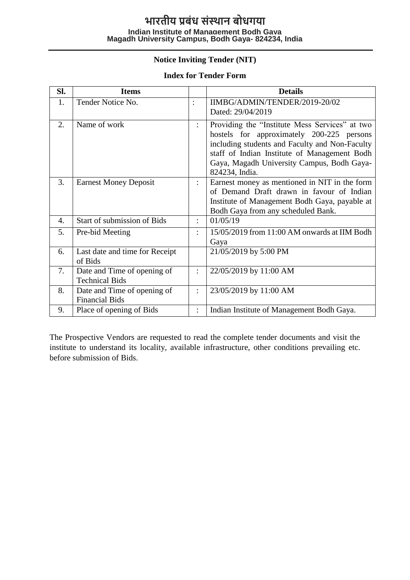## **Notice Inviting Tender (NIT)**

#### **Index for Tender Form**

| Sl. | <b>Items</b>                                         |                      | <b>Details</b>                                                                                                                                                                                                                                                |
|-----|------------------------------------------------------|----------------------|---------------------------------------------------------------------------------------------------------------------------------------------------------------------------------------------------------------------------------------------------------------|
| 1.  | Tender Notice No.                                    |                      | IIMBG/ADMIN/TENDER/2019-20/02<br>Dated: 29/04/2019                                                                                                                                                                                                            |
| 2.  | Name of work                                         | ÷                    | Providing the "Institute Mess Services" at two<br>hostels for approximately 200-225 persons<br>including students and Faculty and Non-Faculty<br>staff of Indian Institute of Management Bodh<br>Gaya, Magadh University Campus, Bodh Gaya-<br>824234, India. |
| 3.  | <b>Earnest Money Deposit</b>                         |                      | Earnest money as mentioned in NIT in the form<br>of Demand Draft drawn in favour of Indian<br>Institute of Management Bodh Gaya, payable at<br>Bodh Gaya from any scheduled Bank.                                                                             |
| 4.  | Start of submission of Bids                          | $\ddot{\phantom{a}}$ | 01/05/19                                                                                                                                                                                                                                                      |
| 5.  | Pre-bid Meeting                                      |                      | 15/05/2019 from 11:00 AM onwards at IIM Bodh<br>Gaya                                                                                                                                                                                                          |
| 6.  | Last date and time for Receipt<br>of Bids            |                      | 21/05/2019 by 5:00 PM                                                                                                                                                                                                                                         |
| 7.  | Date and Time of opening of<br><b>Technical Bids</b> | ÷                    | 22/05/2019 by 11:00 AM                                                                                                                                                                                                                                        |
| 8.  | Date and Time of opening of<br><b>Financial Bids</b> | $\ddot{\phantom{a}}$ | 23/05/2019 by 11:00 AM                                                                                                                                                                                                                                        |
| 9.  | Place of opening of Bids                             |                      | Indian Institute of Management Bodh Gaya.                                                                                                                                                                                                                     |

The Prospective Vendors are requested to read the complete tender documents and visit the institute to understand its locality, available infrastructure, other conditions prevailing etc. before submission of Bids.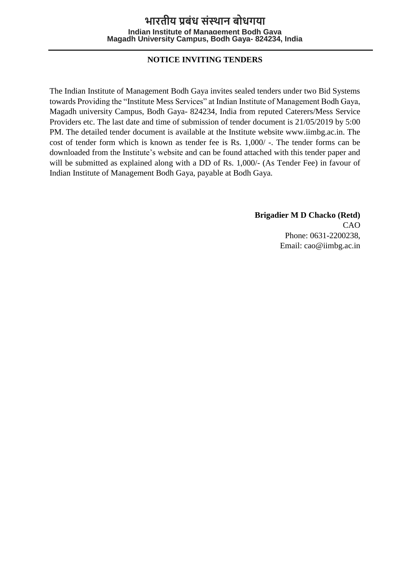### **NOTICE INVITING TENDERS**

The Indian Institute of Management Bodh Gaya invites sealed tenders under two Bid Systems towards Providing the "Institute Mess Services" at Indian Institute of Management Bodh Gaya, Magadh university Campus, Bodh Gaya- 824234, India from reputed Caterers/Mess Service Providers etc. The last date and time of submission of tender document is 21/05/2019 by 5:00 PM. The detailed tender document is available at the Institute website www.iimbg.ac.in. The cost of tender form which is known as tender fee is Rs. 1,000/ -. The tender forms can be downloaded from the Institute's website and can be found attached with this tender paper and will be submitted as explained along with a DD of Rs. 1,000/- (As Tender Fee) in favour of Indian Institute of Management Bodh Gaya, payable at Bodh Gaya.

> **Brigadier M D Chacko (Retd)** CAO Phone: 0631-2200238, Email: cao@iimbg.ac.in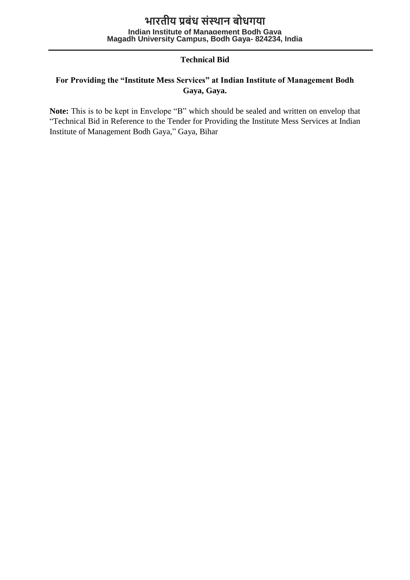### **Technical Bid**

### **For Providing the "Institute Mess Services" at Indian Institute of Management Bodh Gaya, Gaya.**

**Note:** This is to be kept in Envelope "B" which should be sealed and written on envelop that "Technical Bid in Reference to the Tender for Providing the Institute Mess Services at Indian Institute of Management Bodh Gaya," Gaya, Bihar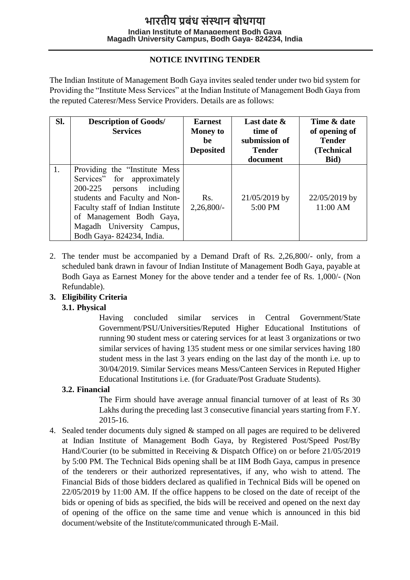## **NOTICE INVITING TENDER**

The Indian Institute of Management Bodh Gaya invites sealed tender under two bid system for Providing the "Institute Mess Services" at the Indian Institute of Management Bodh Gaya from the reputed Cateresr/Mess Service Providers. Details are as follows:

| Sl. | <b>Description of Goods/</b><br><b>Services</b>                                                                                                                                                                                                          | <b>Earnest</b><br><b>Money to</b><br>he<br><b>Deposited</b> | Last date &<br>time of<br>submission of<br><b>Tender</b><br>document | Time & date<br>of opening of<br><b>Tender</b><br>(Technical<br>Bid) |
|-----|----------------------------------------------------------------------------------------------------------------------------------------------------------------------------------------------------------------------------------------------------------|-------------------------------------------------------------|----------------------------------------------------------------------|---------------------------------------------------------------------|
| 1.  | Providing the "Institute Mess"<br>Services" for approximately<br>200-225<br>persons including<br>students and Faculty and Non-<br>Faculty staff of Indian Institute<br>of Management Bodh Gaya,<br>Magadh University Campus,<br>Bodh Gaya-824234, India. | Rs.<br>$2,26,800/$ -                                        | 21/05/2019 by<br>5:00 PM                                             | 22/05/2019 by<br>11:00 AM                                           |

2. The tender must be accompanied by a Demand Draft of Rs. 2,26,800/- only, from a scheduled bank drawn in favour of Indian Institute of Management Bodh Gaya, payable at Bodh Gaya as Earnest Money for the above tender and a tender fee of Rs. 1,000/- (Non Refundable).

### **3. Eligibility Criteria**

#### **3.1. Physical**

Having concluded similar services in Central Government/State Government/PSU/Universities/Reputed Higher Educational Institutions of running 90 student mess or catering services for at least 3 organizations or two similar services of having 135 student mess or one similar services having 180 student mess in the last 3 years ending on the last day of the month i.e. up to 30/04/2019. Similar Services means Mess/Canteen Services in Reputed Higher Educational Institutions i.e. (for Graduate/Post Graduate Students).

### **3.2. Financial**

The Firm should have average annual financial turnover of at least of Rs 30 Lakhs during the preceding last 3 consecutive financial years starting from F.Y. 2015-16.

4. Sealed tender documents duly signed & stamped on all pages are required to be delivered at Indian Institute of Management Bodh Gaya, by Registered Post/Speed Post/By Hand/Courier (to be submitted in Receiving & Dispatch Office) on or before 21/05/2019 by 5:00 PM. The Technical Bids opening shall be at IIM Bodh Gaya, campus in presence of the tenderers or their authorized representatives, if any, who wish to attend. The Financial Bids of those bidders declared as qualified in Technical Bids will be opened on 22/05/2019 by 11:00 AM. If the office happens to be closed on the date of receipt of the bids or opening of bids as specified, the bids will be received and opened on the next day of opening of the office on the same time and venue which is announced in this bid document/website of the Institute/communicated through E-Mail.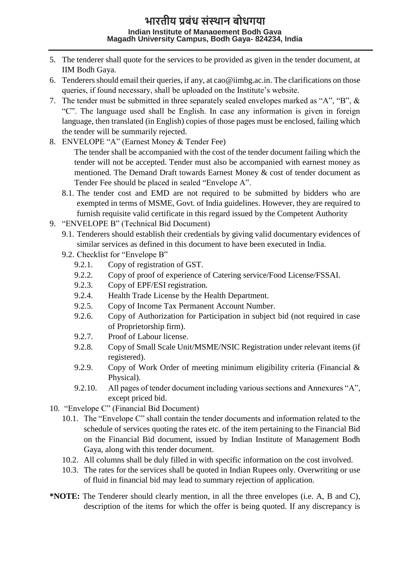- 5. The tenderer shall quote for the services to be provided as given in the tender document, at IIM Bodh Gaya.
- 6. Tenderers should email their queries, if any, at cao @iimbg.ac.in. The clarifications on those queries, if found necessary, shall be uploaded on the Institute's website.
- 7. The tender must be submitted in three separately sealed envelopes marked as "A", "B", & "C". The language used shall be English. In case any information is given in foreign language, then translated (in English) copies of those pages must be enclosed, failing which the tender will be summarily rejected.
- 8. ENVELOPE "A" (Earnest Money & Tender Fee) The tender shall be accompanied with the cost of the tender document failing which the tender will not be accepted. Tender must also be accompanied with earnest money as mentioned. The Demand Draft towards Earnest Money & cost of tender document as Tender Fee should be placed in sealed "Envelope A".
	- 8.1. The tender cost and EMD are not required to be submitted by bidders who are exempted in terms of MSME, Govt. of India guidelines. However, they are required to furnish requisite valid certificate in this regard issued by the Competent Authority
- 9. "ENVELOPE B" (Technical Bid Document)
	- 9.1. Tenderers should establish their credentials by giving valid documentary evidences of similar services as defined in this document to have been executed in India.
	- 9.2. Checklist for "Envelope B"
		- 9.2.1. Copy of registration of GST.
		- 9.2.2. Copy of proof of experience of Catering service/Food License/FSSAI.
		- 9.2.3. Copy of EPF/ESI registration.
		- 9.2.4. Health Trade License by the Health Department.
		- 9.2.5. Copy of Income Tax Permanent Account Number.
		- 9.2.6. Copy of Authorization for Participation in subject bid (not required in case of Proprietorship firm).
		- 9.2.7. Proof of Labour license.
		- 9.2.8. Copy of Small Scale Unit/MSME/NSIC Registration under relevant items (if registered).
		- 9.2.9. Copy of Work Order of meeting minimum eligibility criteria (Financial & Physical).
		- 9.2.10. All pages of tender document including various sections and Annexures "A", except priced bid.
- 10. "Envelope C" (Financial Bid Document)
	- 10.1. The "Envelope C" shall contain the tender documents and information related to the schedule of services quoting the rates etc. of the item pertaining to the Financial Bid on the Financial Bid document, issued by Indian Institute of Management Bodh Gaya, along with this tender document.
	- 10.2. All columns shall be duly filled in with specific information on the cost involved.
	- 10.3. The rates for the services shall be quoted in Indian Rupees only. Overwriting or use of fluid in financial bid may lead to summary rejection of application.
- **\*NOTE:** The Tenderer should clearly mention, in all the three envelopes (i.e. A, B and C), description of the items for which the offer is being quoted. If any discrepancy is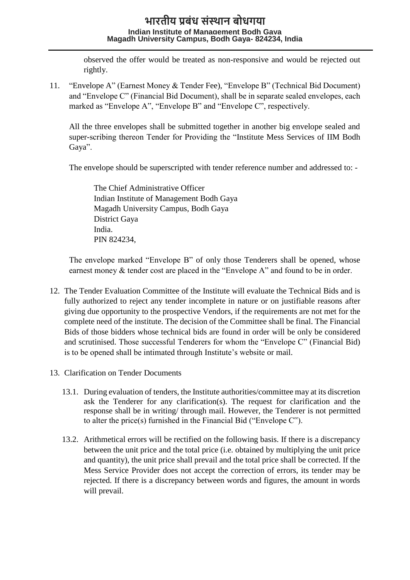observed the offer would be treated as non-responsive and would be rejected out rightly.

11. "Envelope A" (Earnest Money & Tender Fee), "Envelope B" (Technical Bid Document) and "Envelope C" (Financial Bid Document), shall be in separate sealed envelopes, each marked as "Envelope A", "Envelope B" and "Envelope C", respectively.

All the three envelopes shall be submitted together in another big envelope sealed and super-scribing thereon Tender for Providing the "Institute Mess Services of IIM Bodh Gaya".

The envelope should be superscripted with tender reference number and addressed to: -

The Chief Administrative Officer Indian Institute of Management Bodh Gaya Magadh University Campus, Bodh Gaya District Gaya India. PIN 824234,

The envelope marked "Envelope B" of only those Tenderers shall be opened, whose earnest money & tender cost are placed in the "Envelope A" and found to be in order.

- 12. The Tender Evaluation Committee of the Institute will evaluate the Technical Bids and is fully authorized to reject any tender incomplete in nature or on justifiable reasons after giving due opportunity to the prospective Vendors, if the requirements are not met for the complete need of the institute. The decision of the Committee shall be final. The Financial Bids of those bidders whose technical bids are found in order will be only be considered and scrutinised. Those successful Tenderers for whom the "Envelope C" (Financial Bid) is to be opened shall be intimated through Institute's website or mail.
- 13. Clarification on Tender Documents
	- 13.1. During evaluation of tenders, the Institute authorities/committee may at its discretion ask the Tenderer for any clarification(s). The request for clarification and the response shall be in writing/ through mail. However, the Tenderer is not permitted to alter the price(s) furnished in the Financial Bid ("Envelope C").
	- 13.2. Arithmetical errors will be rectified on the following basis. If there is a discrepancy between the unit price and the total price (i.e. obtained by multiplying the unit price and quantity), the unit price shall prevail and the total price shall be corrected. If the Mess Service Provider does not accept the correction of errors, its tender may be rejected. If there is a discrepancy between words and figures, the amount in words will prevail.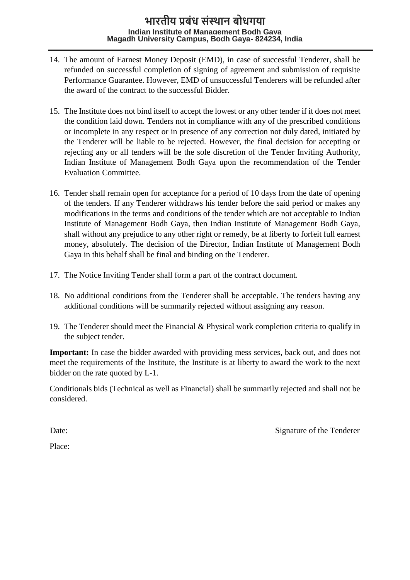- 14. The amount of Earnest Money Deposit (EMD), in case of successful Tenderer, shall be refunded on successful completion of signing of agreement and submission of requisite Performance Guarantee. However, EMD of unsuccessful Tenderers will be refunded after the award of the contract to the successful Bidder.
- 15. The Institute does not bind itself to accept the lowest or any other tender if it does not meet the condition laid down. Tenders not in compliance with any of the prescribed conditions or incomplete in any respect or in presence of any correction not duly dated, initiated by the Tenderer will be liable to be rejected. However, the final decision for accepting or rejecting any or all tenders will be the sole discretion of the Tender Inviting Authority, Indian Institute of Management Bodh Gaya upon the recommendation of the Tender Evaluation Committee.
- 16. Tender shall remain open for acceptance for a period of 10 days from the date of opening of the tenders. If any Tenderer withdraws his tender before the said period or makes any modifications in the terms and conditions of the tender which are not acceptable to Indian Institute of Management Bodh Gaya, then Indian Institute of Management Bodh Gaya, shall without any prejudice to any other right or remedy, be at liberty to forfeit full earnest money, absolutely. The decision of the Director, Indian Institute of Management Bodh Gaya in this behalf shall be final and binding on the Tenderer.
- 17. The Notice Inviting Tender shall form a part of the contract document.
- 18. No additional conditions from the Tenderer shall be acceptable. The tenders having any additional conditions will be summarily rejected without assigning any reason.
- 19. The Tenderer should meet the Financial & Physical work completion criteria to qualify in the subject tender.

**Important:** In case the bidder awarded with providing mess services, back out, and does not meet the requirements of the Institute, the Institute is at liberty to award the work to the next bidder on the rate quoted by L-1.

Conditionals bids (Technical as well as Financial) shall be summarily rejected and shall not be considered.

Date: Signature of the Tenderer

Place: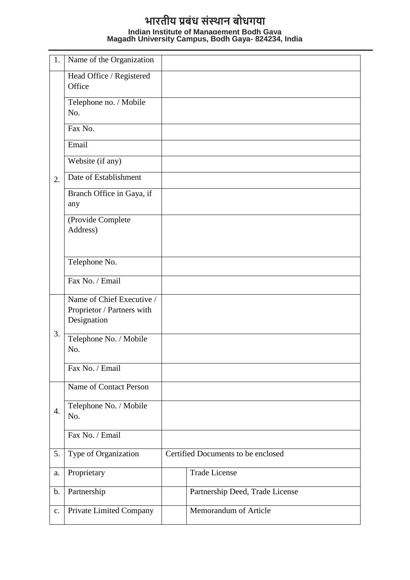| 1.               | Name of the Organization                                               |                                    |
|------------------|------------------------------------------------------------------------|------------------------------------|
|                  | Head Office / Registered<br>Office                                     |                                    |
|                  | Telephone no. / Mobile<br>No.                                          |                                    |
|                  | Fax No.                                                                |                                    |
|                  | Email                                                                  |                                    |
|                  | Website (if any)                                                       |                                    |
| 2.               | Date of Establishment                                                  |                                    |
|                  | Branch Office in Gaya, if<br>any                                       |                                    |
|                  | (Provide Complete<br>Address)                                          |                                    |
|                  | Telephone No.                                                          |                                    |
|                  | Fax No. / Email                                                        |                                    |
|                  | Name of Chief Executive /<br>Proprietor / Partners with<br>Designation |                                    |
| 3.               | Telephone No. / Mobile<br>No.                                          |                                    |
|                  | Fax No. / Email                                                        |                                    |
|                  | Name of Contact Person                                                 |                                    |
| $\overline{4}$ . | Telephone No. / Mobile<br>No.                                          |                                    |
|                  | Fax No. / Email                                                        |                                    |
| 5.               | Type of Organization                                                   | Certified Documents to be enclosed |
| a.               | Proprietary                                                            | <b>Trade License</b>               |
| $\mathbf b$ .    | Partnership                                                            | Partnership Deed, Trade License    |
| c.               | Private Limited Company                                                | Memorandum of Article              |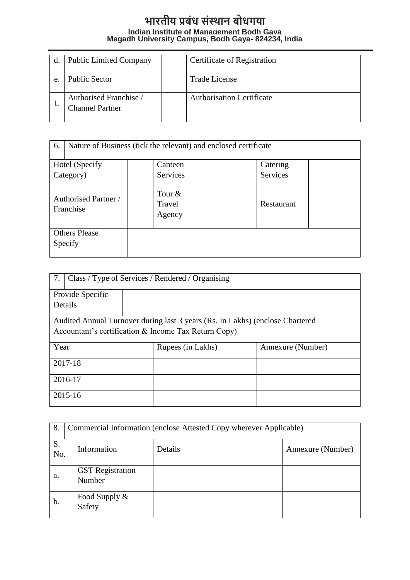|    | <b>Public Limited Company</b>                    | Certificate of Registration      |
|----|--------------------------------------------------|----------------------------------|
| e. | <b>Public Sector</b>                             | Trade License                    |
|    | Authorised Franchise /<br><b>Channel Partner</b> | <b>Authorisation Certificate</b> |

| 6.                                | Nature of Business (tick the relevant) and enclosed certificate |                 |  |  |
|-----------------------------------|-----------------------------------------------------------------|-----------------|--|--|
| Hotel (Specify                    | Canteen                                                         | Catering        |  |  |
| Category)                         | <b>Services</b>                                                 | <b>Services</b> |  |  |
| Authorised Partner /<br>Franchise | Tour $&$<br>Travel<br>Agency                                    | Restaurant      |  |  |
| <b>Others Please</b><br>Specify   |                                                                 |                 |  |  |

| 7.               | Class / Type of Services / Rendered / Organising |                                                                               |                   |  |  |
|------------------|--------------------------------------------------|-------------------------------------------------------------------------------|-------------------|--|--|
| Provide Specific |                                                  |                                                                               |                   |  |  |
| Details          |                                                  |                                                                               |                   |  |  |
|                  |                                                  | Audited Annual Turnover during last 3 years (Rs. In Lakhs) (enclose Chartered |                   |  |  |
|                  |                                                  | Accountant's certification & Income Tax Return Copy)                          |                   |  |  |
| Year             |                                                  | Rupees (in Lakhs)                                                             | Annexure (Number) |  |  |
| 2017-18          |                                                  |                                                                               |                   |  |  |
| 2016-17          |                                                  |                                                                               |                   |  |  |
| 2015-16          |                                                  |                                                                               |                   |  |  |

| 8.        | Commercial Information (enclose Attested Copy wherever Applicable) |         |                   |  |
|-----------|--------------------------------------------------------------------|---------|-------------------|--|
| S.<br>No. | Information                                                        | Details | Annexure (Number) |  |
| a.        | <b>GST</b> Registration<br>Number                                  |         |                   |  |
| b.        | Food Supply &<br>Safety                                            |         |                   |  |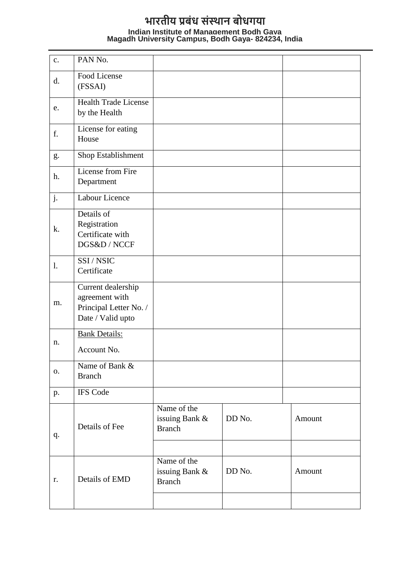| $\mathbf{c}$ . | PAN No.                                                                             |                                                |        |        |
|----------------|-------------------------------------------------------------------------------------|------------------------------------------------|--------|--------|
| d.             | Food License<br>(FSSAI)                                                             |                                                |        |        |
| e.             | <b>Health Trade License</b><br>by the Health                                        |                                                |        |        |
| f.             | License for eating<br>House                                                         |                                                |        |        |
| g.             | Shop Establishment                                                                  |                                                |        |        |
| h.             | License from Fire<br>Department                                                     |                                                |        |        |
| j.             | Labour Licence                                                                      |                                                |        |        |
| k.             | Details of<br>Registration<br>Certificate with<br>DGS&D / NCCF                      |                                                |        |        |
| $\mathbf{l}$ . | SSI/NSIC<br>Certificate                                                             |                                                |        |        |
| m.             | Current dealership<br>agreement with<br>Principal Letter No. /<br>Date / Valid upto |                                                |        |        |
| n.             | <b>Bank Details:</b><br>Account No.                                                 |                                                |        |        |
| 0.             | Name of Bank &<br><b>Branch</b>                                                     |                                                |        |        |
| p.             | <b>IFS Code</b>                                                                     |                                                |        |        |
| q.             | Details of Fee                                                                      | Name of the<br>issuing Bank &<br><b>Branch</b> | DD No. | Amount |
| r.             | Details of EMD                                                                      | Name of the<br>issuing Bank &<br><b>Branch</b> | DD No. | Amount |
|                |                                                                                     |                                                |        |        |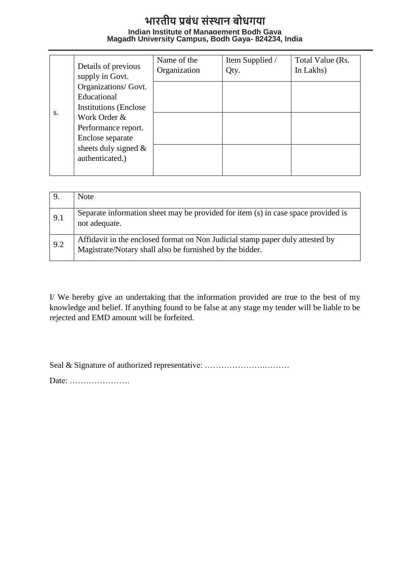|    | Details of previous<br>supply in Govt.     | Name of the<br>Organization | Item Supplied /<br>Qty. | Total Value (Rs.<br>In Lakhs) |
|----|--------------------------------------------|-----------------------------|-------------------------|-------------------------------|
|    | Organizations/ Govt.                       |                             |                         |                               |
|    | Educational                                |                             |                         |                               |
| S. | <b>Institutions (Enclose)</b>              |                             |                         |                               |
|    | Work Order &                               |                             |                         |                               |
|    | Performance report.                        |                             |                         |                               |
|    | Enclose separate                           |                             |                         |                               |
|    | sheets duly signed $\&$<br>authenticated.) |                             |                         |                               |
|    |                                            |                             |                         |                               |

| 9.  | <b>Note</b>                                                                                                                               |
|-----|-------------------------------------------------------------------------------------------------------------------------------------------|
| 9.1 | Separate information sheet may be provided for item (s) in case space provided is<br>not adequate.                                        |
| 9.2 | Affidavit in the enclosed format on Non Judicial stamp paper duly attested by<br>Magistrate/Notary shall also be furnished by the bidder. |

I/ We hereby give an undertaking that the information provided are true to the best of my knowledge and belief. If anything found to be false at any stage my tender will be liable to be rejected and EMD amount will be forfeited.

Seal & Signature of authorized representative: ..................................

Date: ………………….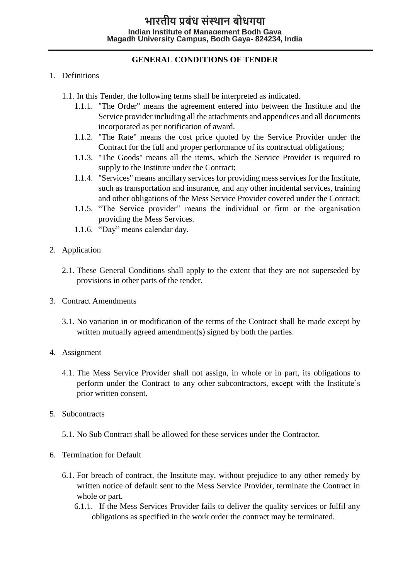### **GENERAL CONDITIONS OF TENDER**

#### 1. Definitions

1.1. In this Tender, the following terms shall be interpreted as indicated.

- 1.1.1. "The Order" means the agreement entered into between the Institute and the Service provider including all the attachments and appendices and all documents incorporated as per notification of award.
- 1.1.2. "The Rate" means the cost price quoted by the Service Provider under the Contract for the full and proper performance of its contractual obligations;
- 1.1.3. "The Goods" means all the items, which the Service Provider is required to supply to the Institute under the Contract;
- 1.1.4. "Services" means ancillary services for providing mess services for the Institute, such as transportation and insurance, and any other incidental services, training and other obligations of the Mess Service Provider covered under the Contract;
- 1.1.5. "The Service provider" means the individual or firm or the organisation providing the Mess Services.
- 1.1.6. "Day" means calendar day.
- 2. Application
	- 2.1. These General Conditions shall apply to the extent that they are not superseded by provisions in other parts of the tender.
- 3. Contract Amendments
	- 3.1. No variation in or modification of the terms of the Contract shall be made except by written mutually agreed amendment(s) signed by both the parties.
- 4. Assignment
	- 4.1. The Mess Service Provider shall not assign, in whole or in part, its obligations to perform under the Contract to any other subcontractors, except with the Institute's prior written consent.
- 5. Subcontracts
	- 5.1. No Sub Contract shall be allowed for these services under the Contractor.
- 6. Termination for Default
	- 6.1. For breach of contract, the Institute may, without prejudice to any other remedy by written notice of default sent to the Mess Service Provider, terminate the Contract in whole or part.
		- 6.1.1. If the Mess Services Provider fails to deliver the quality services or fulfil any obligations as specified in the work order the contract may be terminated.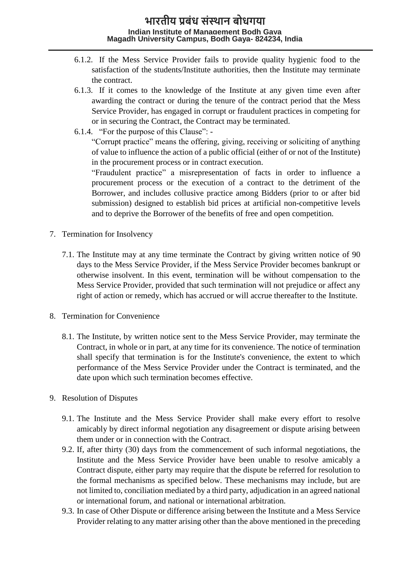- 6.1.2. If the Mess Service Provider fails to provide quality hygienic food to the satisfaction of the students/Institute authorities, then the Institute may terminate the contract.
- 6.1.3. If it comes to the knowledge of the Institute at any given time even after awarding the contract or during the tenure of the contract period that the Mess Service Provider, has engaged in corrupt or fraudulent practices in competing for or in securing the Contract, the Contract may be terminated.
- 6.1.4. "For the purpose of this Clause": -

"Corrupt practice" means the offering, giving, receiving or soliciting of anything of value to influence the action of a public official (either of or not of the Institute) in the procurement process or in contract execution.

"Fraudulent practice" a misrepresentation of facts in order to influence a procurement process or the execution of a contract to the detriment of the Borrower, and includes collusive practice among Bidders (prior to or after bid submission) designed to establish bid prices at artificial non-competitive levels and to deprive the Borrower of the benefits of free and open competition.

- 7. Termination for Insolvency
	- 7.1. The Institute may at any time terminate the Contract by giving written notice of 90 days to the Mess Service Provider, if the Mess Service Provider becomes bankrupt or otherwise insolvent. In this event, termination will be without compensation to the Mess Service Provider, provided that such termination will not prejudice or affect any right of action or remedy, which has accrued or will accrue thereafter to the Institute.
- 8. Termination for Convenience
	- 8.1. The Institute, by written notice sent to the Mess Service Provider, may terminate the Contract, in whole or in part, at any time for its convenience. The notice of termination shall specify that termination is for the Institute's convenience, the extent to which performance of the Mess Service Provider under the Contract is terminated, and the date upon which such termination becomes effective.
- 9. Resolution of Disputes
	- 9.1. The Institute and the Mess Service Provider shall make every effort to resolve amicably by direct informal negotiation any disagreement or dispute arising between them under or in connection with the Contract.
	- 9.2. If, after thirty (30) days from the commencement of such informal negotiations, the Institute and the Mess Service Provider have been unable to resolve amicably a Contract dispute, either party may require that the dispute be referred for resolution to the formal mechanisms as specified below. These mechanisms may include, but are not limited to, conciliation mediated by a third party, adjudication in an agreed national or international forum, and national or international arbitration.
	- 9.3. In case of Other Dispute or difference arising between the Institute and a Mess Service Provider relating to any matter arising other than the above mentioned in the preceding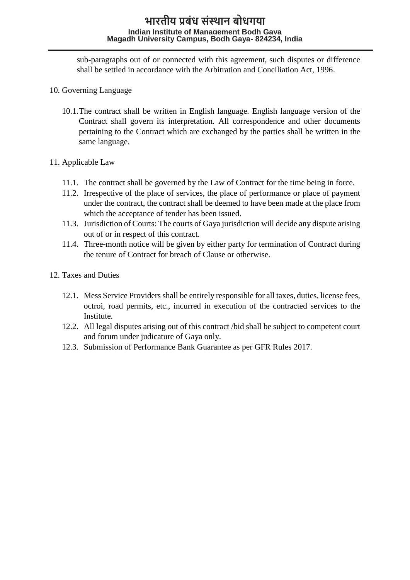sub-paragraphs out of or connected with this agreement, such disputes or difference shall be settled in accordance with the Arbitration and Conciliation Act, 1996.

- 10. Governing Language
	- 10.1.The contract shall be written in English language. English language version of the Contract shall govern its interpretation. All correspondence and other documents pertaining to the Contract which are exchanged by the parties shall be written in the same language.

#### 11. Applicable Law

- 11.1. The contract shall be governed by the Law of Contract for the time being in force.
- 11.2. Irrespective of the place of services, the place of performance or place of payment under the contract, the contract shall be deemed to have been made at the place from which the acceptance of tender has been issued.
- 11.3. Jurisdiction of Courts: The courts of Gaya jurisdiction will decide any dispute arising out of or in respect of this contract.
- 11.4. Three-month notice will be given by either party for termination of Contract during the tenure of Contract for breach of Clause or otherwise.
- 12. Taxes and Duties
	- 12.1. Mess Service Providers shall be entirely responsible for all taxes, duties, license fees, octroi, road permits, etc., incurred in execution of the contracted services to the Institute.
	- 12.2. All legal disputes arising out of this contract /bid shall be subject to competent court and forum under judicature of Gaya only.
	- 12.3. Submission of Performance Bank Guarantee as per GFR Rules 2017.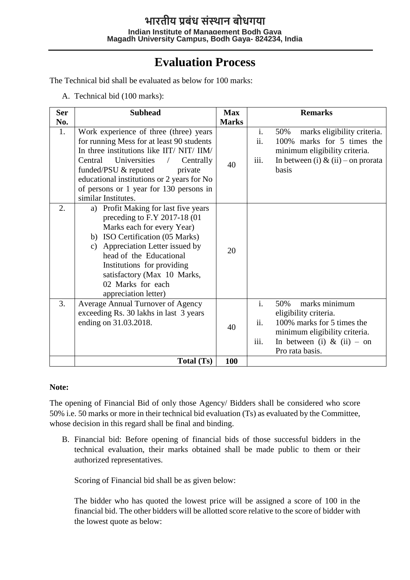# **Evaluation Process**

The Technical bid shall be evaluated as below for 100 marks:

A. Technical bid (100 marks):

| <b>Ser</b>       | <b>Subhead</b>                                                                                                                                                                                                                                                                                                                           | <b>Max</b>   |                               | <b>Remarks</b>                                                                                                                                                |
|------------------|------------------------------------------------------------------------------------------------------------------------------------------------------------------------------------------------------------------------------------------------------------------------------------------------------------------------------------------|--------------|-------------------------------|---------------------------------------------------------------------------------------------------------------------------------------------------------------|
| No.              |                                                                                                                                                                                                                                                                                                                                          | <b>Marks</b> |                               |                                                                                                                                                               |
| 1.               | Work experience of three (three) years<br>for running Mess for at least 90 students<br>In three institutions like IIT/NIT/IIM/<br>Central Universities<br>Centrally<br>$\overline{1}$<br>funded/PSU & reputed<br>private<br>educational institutions or 2 years for No<br>of persons or 1 year for 130 persons in<br>similar Institutes. | 40           | $\mathbf{i}$ .<br>ii.<br>iii. | marks eligibility criteria.<br>50%<br>100% marks for 5 times the<br>minimum eligibility criteria.<br>In between (i) & (ii) – on prorata<br>basis              |
| $\overline{2}$ . | a) Profit Making for last five years<br>preceding to F.Y 2017-18 (01<br>Marks each for every Year)<br>b) ISO Certification (05 Marks)<br>c) Appreciation Letter issued by<br>head of the Educational<br>Institutions for providing<br>satisfactory (Max 10 Marks,<br>02 Marks for each<br>appreciation letter)                           | 20           |                               |                                                                                                                                                               |
| 3.               | Average Annual Turnover of Agency<br>exceeding Rs. 30 lakhs in last 3 years<br>ending on 31.03.2018.                                                                                                                                                                                                                                     | 40           | $\mathbf{i}$ .<br>ii.<br>iii. | marks minimum<br>50%<br>eligibility criteria.<br>100% marks for 5 times the<br>minimum eligibility criteria.<br>In between (i) & (ii) – on<br>Pro rata basis. |
|                  | Total (Ts)                                                                                                                                                                                                                                                                                                                               | 100          |                               |                                                                                                                                                               |

#### **Note:**

The opening of Financial Bid of only those Agency/ Bidders shall be considered who score 50% i.e. 50 marks or more in their technical bid evaluation (Ts) as evaluated by the Committee, whose decision in this regard shall be final and binding.

B. Financial bid: Before opening of financial bids of those successful bidders in the technical evaluation, their marks obtained shall be made public to them or their authorized representatives.

Scoring of Financial bid shall be as given below:

The bidder who has quoted the lowest price will be assigned a score of 100 in the financial bid. The other bidders will be allotted score relative to the score of bidder with the lowest quote as below: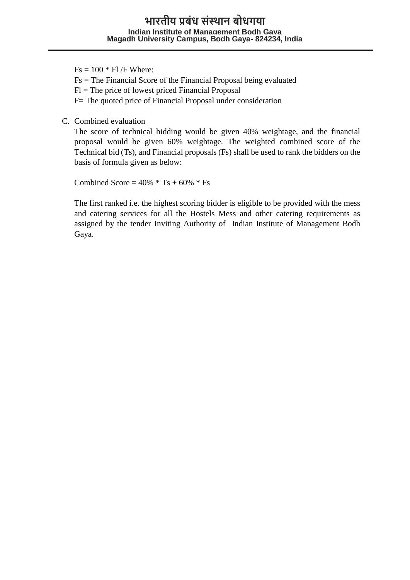$Fs = 100 * FI/F$  Where: Fs = The Financial Score of the Financial Proposal being evaluated  $FI$  = The price of lowest priced Financial Proposal

F= The quoted price of Financial Proposal under consideration

C. Combined evaluation

The score of technical bidding would be given 40% weightage, and the financial proposal would be given 60% weightage. The weighted combined score of the Technical bid (Ts), and Financial proposals (Fs) shall be used to rank the bidders on the basis of formula given as below:

Combined Score =  $40\% * Ts + 60\% * Fs$ 

The first ranked i.e. the highest scoring bidder is eligible to be provided with the mess and catering services for all the Hostels Mess and other catering requirements as assigned by the tender Inviting Authority of Indian Institute of Management Bodh Gaya.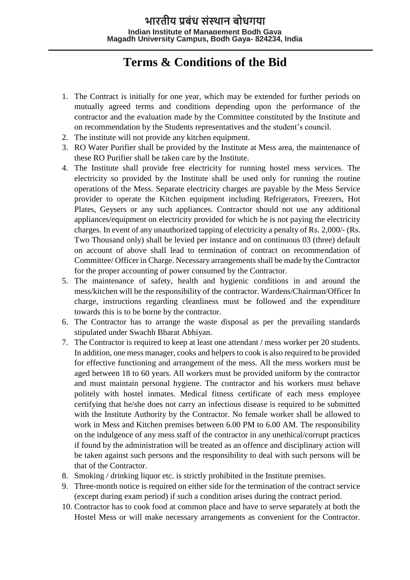# **Terms & Conditions of the Bid**

- 1. The Contract is initially for one year, which may be extended for further periods on mutually agreed terms and conditions depending upon the performance of the contractor and the evaluation made by the Committee constituted by the Institute and on recommendation by the Students representatives and the student's council.
- 2. The institute will not provide any kitchen equipment.
- 3. RO Water Purifier shall be provided by the Institute at Mess area, the maintenance of these RO Purifier shall be taken care by the Institute.
- 4. The Institute shall provide free electricity for running hostel mess services. The electricity so provided by the Institute shall be used only for running the routine operations of the Mess. Separate electricity charges are payable by the Mess Service provider to operate the Kitchen equipment including Refrigerators, Freezers, Hot Plates, Geysers or any such appliances. Contractor should not use any additional appliances/equipment on electricity provided for which he is not paying the electricity charges. In event of any unauthorized tapping of electricity a penalty of Rs. 2,000/- (Rs. Two Thousand only) shall be levied per instance and on continuous 03 (three) default on account of above shall lead to termination of contract on recommendation of Committee/ Officer in Charge. Necessary arrangements shall be made by the Contractor for the proper accounting of power consumed by the Contractor.
- 5. The maintenance of safety, health and hygienic conditions in and around the mess/kitchen will be the responsibility of the contractor. Wardens/Chairman/Officer In charge, instructions regarding cleanliness must be followed and the expenditure towards this is to be borne by the contractor.
- 6. The Contractor has to arrange the waste disposal as per the prevailing standards stipulated under Swachh Bharat Abhiyan.
- 7. The Contractor is required to keep at least one attendant / mess worker per 20 students. In addition, one mess manager, cooks and helpers to cook is also required to be provided for effective functioning and arrangement of the mess. All the mess workers must be aged between 18 to 60 years. All workers must be provided uniform by the contractor and must maintain personal hygiene. The contractor and his workers must behave politely with hostel inmates. Medical fitness certificate of each mess employee certifying that he/she does not carry an infectious disease is required to be submitted with the Institute Authority by the Contractor. No female worker shall be allowed to work in Mess and Kitchen premises between 6.00 PM to 6.00 AM. The responsibility on the indulgence of any mess staff of the contractor in any unethical/corrupt practices if found by the administration will be treated as an offence and disciplinary action will be taken against such persons and the responsibility to deal with such persons will be that of the Contractor.
- 8. Smoking / drinking liquor etc. is strictly prohibited in the Institute premises.
- 9. Three-month notice is required on either side for the termination of the contract service (except during exam period) if such a condition arises during the contract period.
- 10. Contractor has to cook food at common place and have to serve separately at both the Hostel Mess or will make necessary arrangements as convenient for the Contractor.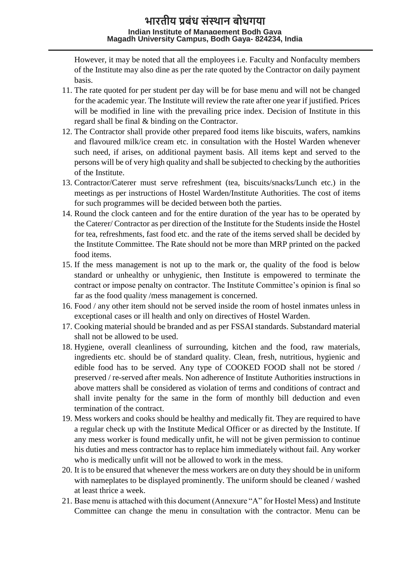However, it may be noted that all the employees i.e. Faculty and Nonfaculty members of the Institute may also dine as per the rate quoted by the Contractor on daily payment basis.

- 11. The rate quoted for per student per day will be for base menu and will not be changed for the academic year. The Institute will review the rate after one year if justified. Prices will be modified in line with the prevailing price index. Decision of Institute in this regard shall be final & binding on the Contractor.
- 12. The Contractor shall provide other prepared food items like biscuits, wafers, namkins and flavoured milk/ice cream etc. in consultation with the Hostel Warden whenever such need, if arises, on additional payment basis. All items kept and served to the persons will be of very high quality and shall be subjected to checking by the authorities of the Institute.
- 13. Contractor/Caterer must serve refreshment (tea, biscuits/snacks/Lunch etc.) in the meetings as per instructions of Hostel Warden/Institute Authorities. The cost of items for such programmes will be decided between both the parties.
- 14. Round the clock canteen and for the entire duration of the year has to be operated by the Caterer/ Contractor as per direction of the Institute for the Students inside the Hostel for tea, refreshments, fast food etc. and the rate of the items served shall be decided by the Institute Committee. The Rate should not be more than MRP printed on the packed food items.
- 15. If the mess management is not up to the mark or, the quality of the food is below standard or unhealthy or unhygienic, then Institute is empowered to terminate the contract or impose penalty on contractor. The Institute Committee's opinion is final so far as the food quality /mess management is concerned.
- 16. Food / any other item should not be served inside the room of hostel inmates unless in exceptional cases or ill health and only on directives of Hostel Warden.
- 17. Cooking material should be branded and as per FSSAI standards. Substandard material shall not be allowed to be used.
- 18. Hygiene, overall cleanliness of surrounding, kitchen and the food, raw materials, ingredients etc. should be of standard quality. Clean, fresh, nutritious, hygienic and edible food has to be served. Any type of COOKED FOOD shall not be stored / preserved / re-served after meals. Non adherence of Institute Authorities instructions in above matters shall be considered as violation of terms and conditions of contract and shall invite penalty for the same in the form of monthly bill deduction and even termination of the contract.
- 19. Mess workers and cooks should be healthy and medically fit. They are required to have a regular check up with the Institute Medical Officer or as directed by the Institute. If any mess worker is found medically unfit, he will not be given permission to continue his duties and mess contractor has to replace him immediately without fail. Any worker who is medically unfit will not be allowed to work in the mess.
- 20. It is to be ensured that whenever the mess workers are on duty they should be in uniform with nameplates to be displayed prominently. The uniform should be cleaned / washed at least thrice a week.
- 21. Base menu is attached with this document (Annexure "A" for Hostel Mess) and Institute Committee can change the menu in consultation with the contractor. Menu can be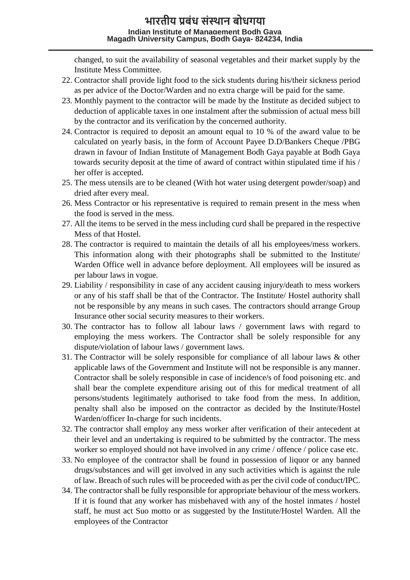changed, to suit the availability of seasonal vegetables and their market supply by the Institute Mess Committee.

- 22. Contractor shall provide light food to the sick students during his/their sickness period as per advice of the Doctor/Warden and no extra charge will be paid for the same.
- 23. Monthly payment to the contractor will be made by the Institute as decided subject to deduction of applicable taxes in one instalment after the submission of actual mess bill by the contractor and its verification by the concerned authority.
- 24. Contractor is required to deposit an amount equal to 10 % of the award value to be calculated on yearly basis, in the form of Account Payee D.D/Bankers Cheque /PBG drawn in favour of Indian Institute of Management Bodh Gaya payable at Bodh Gaya towards security deposit at the time of award of contract within stipulated time if his / her offer is accepted.
- 25. The mess utensils are to be cleaned (With hot water using detergent powder/soap) and dried after every meal.
- 26. Mess Contractor or his representative is required to remain present in the mess when the food is served in the mess.
- 27. All the items to be served in the mess including curd shall be prepared in the respective Mess of that Hostel.
- 28. The contractor is required to maintain the details of all his employees/mess workers. This information along with their photographs shall be submitted to the Institute/ Warden Office well in advance before deployment. All employees will be insured as per labour laws in vogue.
- 29. Liability / responsibility in case of any accident causing injury/death to mess workers or any of his staff shall be that of the Contractor. The Institute/ Hostel authority shall not be responsible by any means in such cases. The contractors should arrange Group Insurance other social security measures to their workers.
- 30. The contractor has to follow all labour laws / government laws with regard to employing the mess workers. The Contractor shall be solely responsible for any dispute/violation of labour laws / government laws.
- 31. The Contractor will be solely responsible for compliance of all labour laws & other applicable laws of the Government and Institute will not be responsible is any manner. Contractor shall be solely responsible in case of incidence/s of food poisoning etc. and shall bear the complete expenditure arising out of this for medical treatment of all persons/students legitimately authorised to take food from the mess. In addition, penalty shall also be imposed on the contractor as decided by the Institute/Hostel Warden/officer In-charge for such incidents.
- 32. The contractor shall employ any mess worker after verification of their antecedent at their level and an undertaking is required to be submitted by the contractor. The mess worker so employed should not have involved in any crime / offence / police case etc.
- 33. No employee of the contractor shall be found in possession of liquor or any banned drugs/substances and will get involved in any such activities which is against the rule of law. Breach of such rules will be proceeded with as per the civil code of conduct/IPC.
- 34. The contractor shall be fully responsible for appropriate behaviour of the mess workers. If it is found that any worker has misbehaved with any of the hostel inmates / hostel staff, he must act Suo motto or as suggested by the Institute/Hostel Warden. All the employees of the Contractor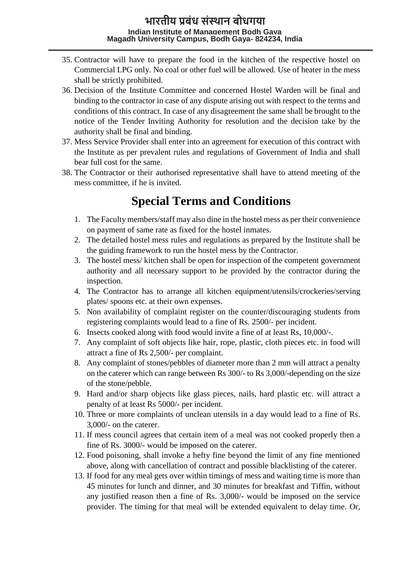- 35. Contractor will have to prepare the food in the kitchen of the respective hostel on Commercial LPG only. No coal or other fuel will be allowed. Use of heater in the mess shall be strictly prohibited.
- 36. Decision of the Institute Committee and concerned Hostel Warden will be final and binding to the contractor in case of any dispute arising out with respect to the terms and conditions of this contract. In case of any disagreement the same shall be brought to the notice of the Tender Inviting Authority for resolution and the decision take by the authority shall be final and binding.
- 37. Mess Service Provider shall enter into an agreement for execution of this contract with the Institute as per prevalent rules and regulations of Government of India and shall bear full cost for the same.
- 38. The Contractor or their authorised representative shall have to attend meeting of the mess committee, if he is invited.

# **Special Terms and Conditions**

- 1. The Faculty members/staff may also dine in the hostel mess as per their convenience on payment of same rate as fixed for the hostel inmates.
- 2. The detailed hostel mess rules and regulations as prepared by the Institute shall be the guiding framework to run the hostel mess by the Contractor.
- 3. The hostel mess/ kitchen shall be open for inspection of the competent government authority and all necessary support to be provided by the contractor during the inspection.
- 4. The Contractor has to arrange all kitchen equipment/utensils/crockeries/serving plates/ spoons etc. at their own expenses.
- 5. Non availability of complaint register on the counter/discouraging students from registering complaints would lead to a fine of Rs. 2500/- per incident.
- 6. Insects cooked along with food would invite a fine of at least Rs, 10,000/-.
- 7. Any complaint of soft objects like hair, rope, plastic, cloth pieces etc. in food will attract a fine of Rs 2,500/- per complaint.
- 8. Any complaint of stones/pebbles of diameter more than 2 mm will attract a penalty on the caterer which can range between Rs 300/- to Rs 3,000/-depending on the size of the stone/pebble.
- 9. Hard and/or sharp objects like glass pieces, nails, hard plastic etc. will attract a penalty of at least Rs 5000/- per incident.
- 10. Three or more complaints of unclean utensils in a day would lead to a fine of Rs. 3,000/- on the caterer.
- 11. If mess council agrees that certain item of a meal was not cooked properly then a fine of Rs. 3000/- would be imposed on the caterer.
- 12. Food poisoning, shall invoke a hefty fine beyond the limit of any fine mentioned above, along with cancellation of contract and possible blacklisting of the caterer.
- 13. If food for any meal gets over within timings of mess and waiting time is more than 45 minutes for lunch and dinner, and 30 minutes for breakfast and Tiffin, without any justified reason then a fine of Rs. 3,000/- would be imposed on the service provider. The timing for that meal will be extended equivalent to delay time. Or,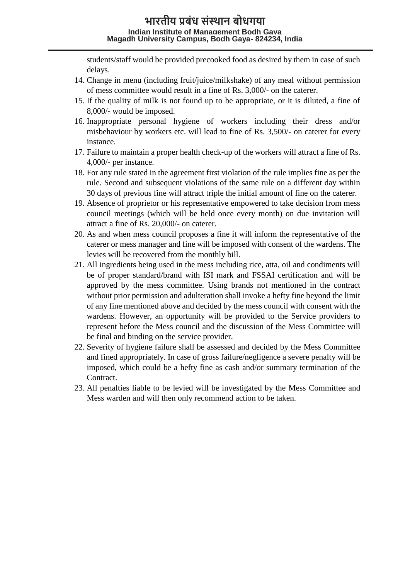students/staff would be provided precooked food as desired by them in case of such delays.

- 14. Change in menu (including fruit/juice/milkshake) of any meal without permission of mess committee would result in a fine of Rs. 3,000/- on the caterer.
- 15. If the quality of milk is not found up to be appropriate, or it is diluted, a fine of 8,000/- would be imposed.
- 16. Inappropriate personal hygiene of workers including their dress and/or misbehaviour by workers etc. will lead to fine of Rs. 3,500/- on caterer for every instance.
- 17. Failure to maintain a proper health check-up of the workers will attract a fine of Rs. 4,000/- per instance.
- 18. For any rule stated in the agreement first violation of the rule implies fine as per the rule. Second and subsequent violations of the same rule on a different day within 30 days of previous fine will attract triple the initial amount of fine on the caterer.
- 19. Absence of proprietor or his representative empowered to take decision from mess council meetings (which will be held once every month) on due invitation will attract a fine of Rs. 20,000/- on caterer.
- 20. As and when mess council proposes a fine it will inform the representative of the caterer or mess manager and fine will be imposed with consent of the wardens. The levies will be recovered from the monthly bill.
- 21. All ingredients being used in the mess including rice, atta, oil and condiments will be of proper standard/brand with ISI mark and FSSAI certification and will be approved by the mess committee. Using brands not mentioned in the contract without prior permission and adulteration shall invoke a hefty fine beyond the limit of any fine mentioned above and decided by the mess council with consent with the wardens. However, an opportunity will be provided to the Service providers to represent before the Mess council and the discussion of the Mess Committee will be final and binding on the service provider.
- 22. Severity of hygiene failure shall be assessed and decided by the Mess Committee and fined appropriately. In case of gross failure/negligence a severe penalty will be imposed, which could be a hefty fine as cash and/or summary termination of the Contract.
- 23. All penalties liable to be levied will be investigated by the Mess Committee and Mess warden and will then only recommend action to be taken.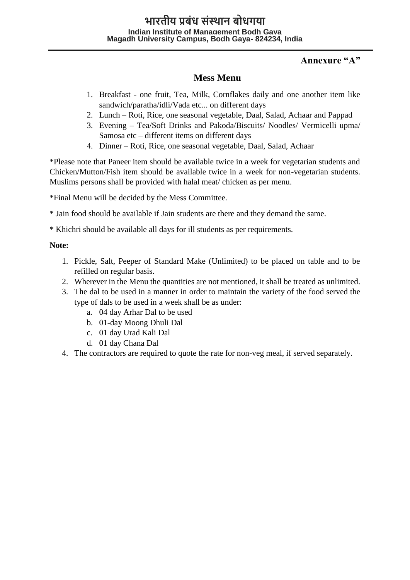## **Annexure "A"**

## **Mess Menu**

- 1. Breakfast one fruit, Tea, Milk, Cornflakes daily and one another item like sandwich/paratha/idli/Vada etc... on different days
- 2. Lunch Roti, Rice, one seasonal vegetable, Daal, Salad, Achaar and Pappad
- 3. Evening Tea/Soft Drinks and Pakoda/Biscuits/ Noodles/ Vermicelli upma/ Samosa etc – different items on different days
- 4. Dinner Roti, Rice, one seasonal vegetable, Daal, Salad, Achaar

\*Please note that Paneer item should be available twice in a week for vegetarian students and Chicken/Mutton/Fish item should be available twice in a week for non-vegetarian students. Muslims persons shall be provided with halal meat/ chicken as per menu.

\*Final Menu will be decided by the Mess Committee.

\* Jain food should be available if Jain students are there and they demand the same.

\* Khichri should be available all days for ill students as per requirements.

#### **Note:**

- 1. Pickle, Salt, Peeper of Standard Make (Unlimited) to be placed on table and to be refilled on regular basis.
- 2. Wherever in the Menu the quantities are not mentioned, it shall be treated as unlimited.
- 3. The dal to be used in a manner in order to maintain the variety of the food served the type of dals to be used in a week shall be as under:
	- a. 04 day Arhar Dal to be used
	- b. 01-day Moong Dhuli Dal
	- c. 01 day Urad Kali Dal
	- d. 01 day Chana Dal
- 4. The contractors are required to quote the rate for non-veg meal, if served separately.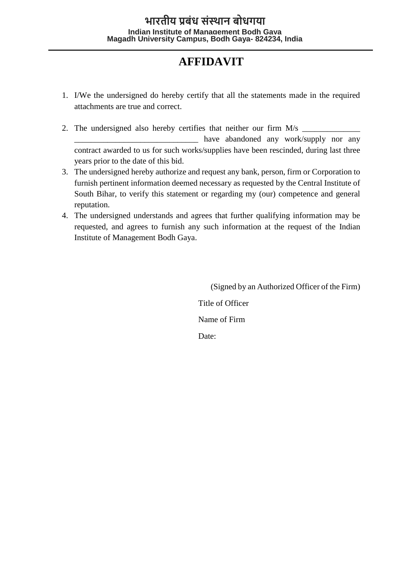# **AFFIDAVIT**

- 1. I/We the undersigned do hereby certify that all the statements made in the required attachments are true and correct.
- 2. The undersigned also hereby certifies that neither our firm  $M/s$ have abandoned any work/supply nor any contract awarded to us for such works/supplies have been rescinded, during last three years prior to the date of this bid.
- 3. The undersigned hereby authorize and request any bank, person, firm or Corporation to furnish pertinent information deemed necessary as requested by the Central Institute of South Bihar, to verify this statement or regarding my (our) competence and general reputation.
- 4. The undersigned understands and agrees that further qualifying information may be requested, and agrees to furnish any such information at the request of the Indian Institute of Management Bodh Gaya.

(Signed by an Authorized Officer of the Firm) Title of Officer Name of Firm Date: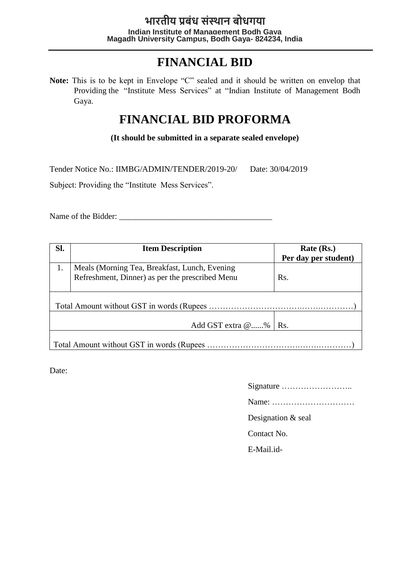# **FINANCIAL BID**

**Note:** This is to be kept in Envelope "C" sealed and it should be written on envelop that Providing the "Institute Mess Services" at "Indian Institute of Management Bodh Gaya.

# **FINANCIAL BID PROFORMA**

**(It should be submitted in a separate sealed envelope)**

Tender Notice No.: IIMBG/ADMIN/TENDER/2019-20/ Date: 30/04/2019

Subject: Providing the "Institute Mess Services".

Name of the Bidder:

| Sl. | <b>Item Description</b>                         | Rate (Rs.)           |  |  |  |
|-----|-------------------------------------------------|----------------------|--|--|--|
|     |                                                 | Per day per student) |  |  |  |
| 1.  | Meals (Morning Tea, Breakfast, Lunch, Evening   |                      |  |  |  |
|     | Refreshment, Dinner) as per the prescribed Menu | Rs.                  |  |  |  |
|     |                                                 |                      |  |  |  |
|     |                                                 |                      |  |  |  |
|     |                                                 |                      |  |  |  |
|     |                                                 |                      |  |  |  |
|     | Add GST extra @%<br>Rs.                         |                      |  |  |  |
|     |                                                 |                      |  |  |  |
|     |                                                 |                      |  |  |  |

Date:

Name: …………………………

Designation & seal

Contact No.

E-Mail.id-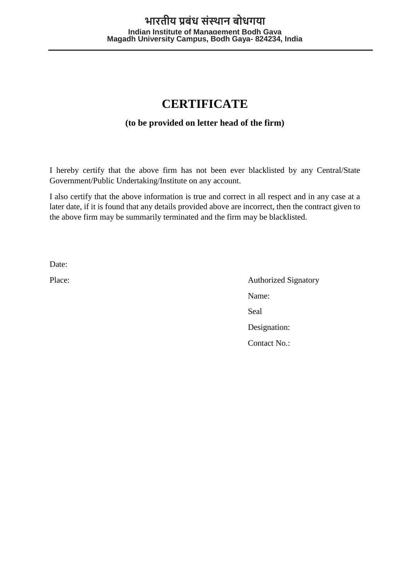# **CERTIFICATE**

## **(to be provided on letter head of the firm)**

I hereby certify that the above firm has not been ever blacklisted by any Central/State Government/Public Undertaking/Institute on any account.

I also certify that the above information is true and correct in all respect and in any case at a later date, if it is found that any details provided above are incorrect, then the contract given to the above firm may be summarily terminated and the firm may be blacklisted.

Date:

Place: Authorized Signatory Name: Seal Designation: Contact No.: